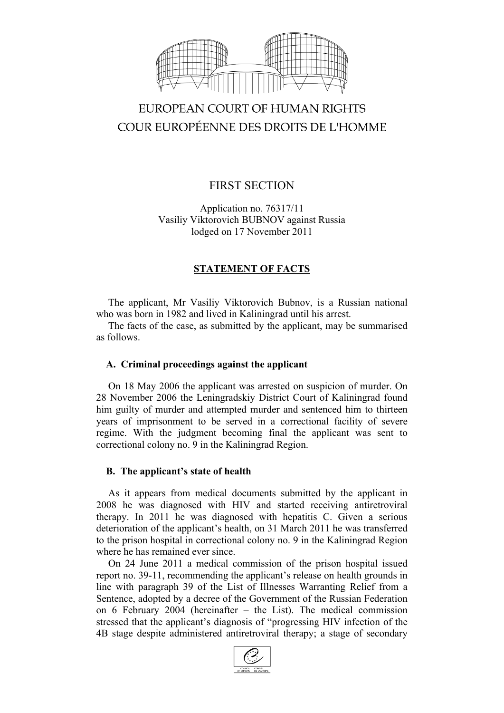

# EUROPEAN COURT OF HUMAN RIGHTS COUR EUROPÉENNE DES DROITS DE L'HOMME

## FIRST SECTION

Application no. 76317/11 Vasiliy Viktorovich BUBNOV against Russia lodged on 17 November 2011

## **STATEMENT OF FACTS**

The applicant, Mr Vasiliy Viktorovich Bubnov, is a Russian national who was born in 1982 and lived in Kaliningrad until his arrest.

The facts of the case, as submitted by the applicant, may be summarised as follows.

## **A. Criminal proceedings against the applicant**

On 18 May 2006 the applicant was arrested on suspicion of murder. On 28 November 2006 the Leningradskiy District Court of Kaliningrad found him guilty of murder and attempted murder and sentenced him to thirteen years of imprisonment to be served in a correctional facility of severe regime. With the judgment becoming final the applicant was sent to correctional colony no. 9 in the Kaliningrad Region.

## **B. The applicant's state of health**

As it appears from medical documents submitted by the applicant in 2008 he was diagnosed with HIV and started receiving antiretroviral therapy. In 2011 he was diagnosed with hepatitis C. Given a serious deterioration of the applicant's health, on 31 March 2011 he was transferred to the prison hospital in correctional colony no. 9 in the Kaliningrad Region where he has remained ever since.

On 24 June 2011 a medical commission of the prison hospital issued report no. 39-11, recommending the applicant's release on health grounds in line with paragraph 39 of the List of Illnesses Warranting Relief from a Sentence, adopted by a decree of the Government of the Russian Federation on 6 February 2004 (hereinafter – the List). The medical commission stressed that the applicant's diagnosis of "progressing HIV infection of the 4B stage despite administered antiretroviral therapy; a stage of secondary

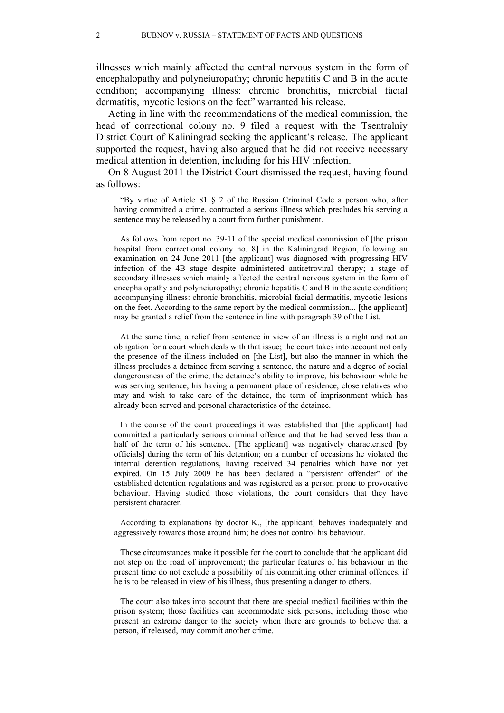illnesses which mainly affected the central nervous system in the form of encephalopathy and polyneiuropathy; chronic hepatitis C and B in the acute condition; accompanying illness: chronic bronchitis, microbial facial dermatitis, mycotic lesions on the feet" warranted his release.

Acting in line with the recommendations of the medical commission, the head of correctional colony no. 9 filed a request with the Tsentralniy District Court of Kaliningrad seeking the applicant's release. The applicant supported the request, having also argued that he did not receive necessary medical attention in detention, including for his HIV infection.

On 8 August 2011 the District Court dismissed the request, having found as follows:

"By virtue of Article 81 § 2 of the Russian Criminal Code a person who, after having committed a crime, contracted a serious illness which precludes his serving a sentence may be released by a court from further punishment.

As follows from report no. 39-11 of the special medical commission of [the prison hospital from correctional colony no. 8] in the Kaliningrad Region, following an examination on 24 June 2011 [the applicant] was diagnosed with progressing HIV infection of the 4B stage despite administered antiretroviral therapy; a stage of secondary illnesses which mainly affected the central nervous system in the form of encephalopathy and polyneiuropathy; chronic hepatitis C and B in the acute condition; accompanying illness: chronic bronchitis, microbial facial dermatitis, mycotic lesions on the feet. According to the same report by the medical commission... [the applicant] may be granted a relief from the sentence in line with paragraph 39 of the List.

At the same time, a relief from sentence in view of an illness is a right and not an obligation for a court which deals with that issue; the court takes into account not only the presence of the illness included on [the List], but also the manner in which the illness precludes a detainee from serving a sentence, the nature and a degree of social dangerousness of the crime, the detainee's ability to improve, his behaviour while he was serving sentence, his having a permanent place of residence, close relatives who may and wish to take care of the detainee, the term of imprisonment which has already been served and personal characteristics of the detainee.

In the course of the court proceedings it was established that [the applicant] had committed a particularly serious criminal offence and that he had served less than a half of the term of his sentence. [The applicant] was negatively characterised [by officials] during the term of his detention; on a number of occasions he violated the internal detention regulations, having received 34 penalties which have not yet expired. On 15 July 2009 he has been declared a "persistent offender" of the established detention regulations and was registered as a person prone to provocative behaviour. Having studied those violations, the court considers that they have persistent character.

According to explanations by doctor K., [the applicant] behaves inadequately and aggressively towards those around him; he does not control his behaviour.

Those circumstances make it possible for the court to conclude that the applicant did not step on the road of improvement; the particular features of his behaviour in the present time do not exclude a possibility of his committing other criminal offences, if he is to be released in view of his illness, thus presenting a danger to others.

The court also takes into account that there are special medical facilities within the prison system; those facilities can accommodate sick persons, including those who present an extreme danger to the society when there are grounds to believe that a person, if released, may commit another crime.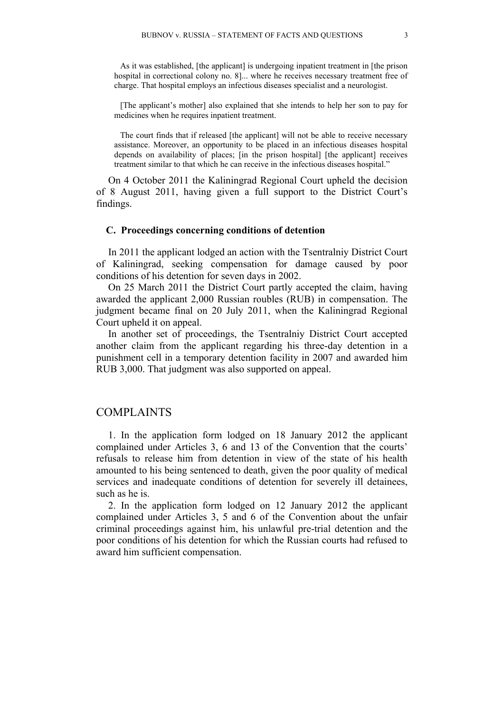As it was established, [the applicant] is undergoing inpatient treatment in [the prison hospital in correctional colony no.  $8$ ]... where he receives necessary treatment free of charge. That hospital employs an infectious diseases specialist and a neurologist.

[The applicant's mother] also explained that she intends to help her son to pay for medicines when he requires inpatient treatment.

The court finds that if released [the applicant] will not be able to receive necessary assistance. Moreover, an opportunity to be placed in an infectious diseases hospital depends on availability of places; [in the prison hospital] [the applicant] receives treatment similar to that which he can receive in the infectious diseases hospital."

On 4 October 2011 the Kaliningrad Regional Court upheld the decision of 8 August 2011, having given a full support to the District Court's findings.

#### **C. Proceedings concerning conditions of detention**

In 2011 the applicant lodged an action with the Tsentralniy District Court of Kaliningrad, seeking compensation for damage caused by poor conditions of his detention for seven days in 2002.

On 25 March 2011 the District Court partly accepted the claim, having awarded the applicant 2,000 Russian roubles (RUB) in compensation. The judgment became final on 20 July 2011, when the Kaliningrad Regional Court upheld it on appeal.

In another set of proceedings, the Tsentralniy District Court accepted another claim from the applicant regarding his three-day detention in a punishment cell in a temporary detention facility in 2007 and awarded him RUB 3,000. That judgment was also supported on appeal.

#### COMPLAINTS

1. In the application form lodged on 18 January 2012 the applicant complained under Articles 3, 6 and 13 of the Convention that the courts' refusals to release him from detention in view of the state of his health amounted to his being sentenced to death, given the poor quality of medical services and inadequate conditions of detention for severely ill detainees, such as he is.

2. In the application form lodged on 12 January 2012 the applicant complained under Articles 3, 5 and 6 of the Convention about the unfair criminal proceedings against him, his unlawful pre-trial detention and the poor conditions of his detention for which the Russian courts had refused to award him sufficient compensation.